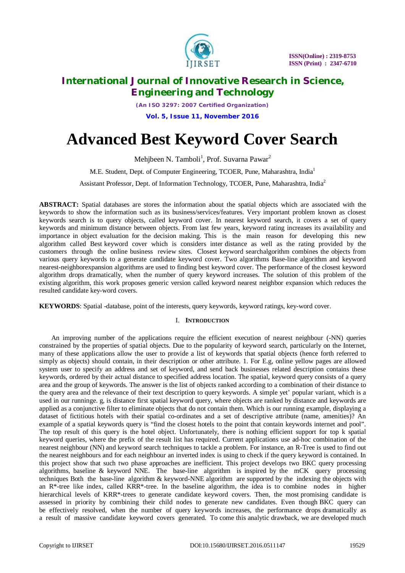

*(An ISO 3297: 2007 Certified Organization)* **Vol. 5, Issue 11, November 2016**

# **Advanced Best Keyword Cover Search**

Mehjbeen N. Tamboli<sup>1</sup>, Prof. Suvarna Pawar<sup>2</sup>

M.E. Student, Dept. of Computer Engineering, TCOER, Pune, Maharashtra, India<sup>1</sup>

Assistant Professor, Dept. of Information Technology, TCOER, Pune, Maharashtra, India<sup>2</sup>

**ABSTRACT:** Spatial databases are stores the information about the spatial objects which are associated with the keywords to show the information such as its business/services/features. Very important problem known as closest keywords search is to query objects, called keyword cover. In nearest keyword search, it covers a set of query keywords and minimum distance between objects. From last few years, keyword rating increases its availability and importance in object evaluation for the decision making. This is the main reason for developing this new algorithm called Best keyword cover which is considers inter distance as well as the rating provided by the customers through the online business review sites. Closest keyword searchalgorithm combines the objects from various query keywords to a generate candidate keyword cover. Two algorithms Base-line algorithm and keyword nearest-neighborexpansion algorithms are used to finding best keyword cover. The performance of the closest keyword algorithm drops dramatically, when the number of query keyword increases. The solution of this problem of the existing algorithm, this work proposes generic version called keyword nearest neighbor expansion which reduces the resulted candidate key-word covers.

**KEYWORDS**: Spatial -database, point of the interests, query keywords, keyword ratings, key-word cover.

### I. **INTRODUCTION**

 An improving number of the applications require the efficient execution of nearest neighbour (-NN) queries constrained by the properties of spatial objects. Due to the popularity of keyword search, particularly on the Internet, many of these applications allow the user to provide a list of keywords that spatial objects (hence forth referred to simply as objects) should contain, in their description or other attribute. 1. For E.g, online yellow pages are allowed system user to specify an address and set of keyword, and send back businesses related description contains these keywords, ordered by their actual distance to specified address location. The spatial, keyword query consists of a query area and the group of keywords. The answer is the list of objects ranked according to a combination of their distance to the query area and the relevance of their text description to query keywords. A simple yet' popular variant, which is a used in our runninge. g, is distance first spatial keyword query, where objects are ranked by distance and keywords are applied as a conjunctive filter to eliminate objects that do not contain them. Which is our running example, displaying a dataset of fictitious hotels with their spatial co-ordinates and a set of descriptive attribute (name, amenities)? An example of a spatial keywords query is "find the closest hotels to the point that contain keywords internet and pool". The top result of this query is the hotel object. Unfortunately, there is nothing efficient support for top k spatial keyword queries, where the prefix of the result list has required. Current applications use ad-hoc combination of the nearest neighbour (NN) and keyword search techniques to tackle a problem. For instance, an R-Tree is used to find out the nearest neighbours and for each neighbour an inverted index is using to check if the query keyword is contained. In this project show that such two phase approaches are inefficient. This project develops two BKC query processing algorithms, baseline & keyword NNE. The base-line algorithm is inspired by the mCK query processing techniques Both the base-line algorithm & keyword-NNE algorithm are supported by the indexing the objects with an R\*-tree like index, called KRR\*-tree. In the baseline algorithm, the idea is to combine nodes in higher hierarchical levels of KRR<sup>\*</sup>-trees to generate candidate keyword covers. Then, the most promising candidate is assessed in priority by combining their child nodes to generate new candidates. Even though BKC query can be effectively resolved, when the number of query keywords increases, the performance drops dramatically as a result of massive candidate keyword covers generated. To come this analytic drawback, we are developed much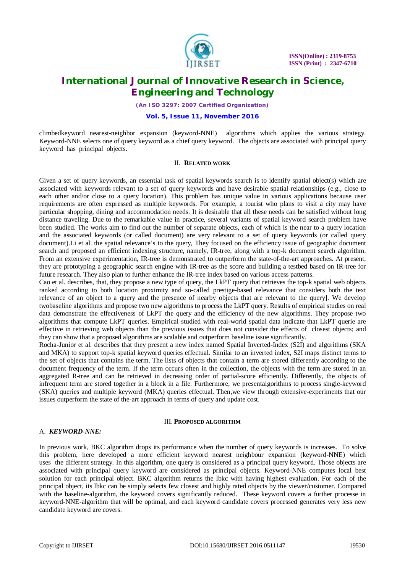

*(An ISO 3297: 2007 Certified Organization)*

#### **Vol. 5, Issue 11, November 2016**

climbedkeyword nearest-neighbor expansion (keyword-NNE) algorithms which applies the various strategy. Keyword-NNE selects one of query keyword as a chief query keyword. The objects are associated with principal query keyword has principal objects.

#### II. **RELATED WORK**

Given a set of query keywords, an essential task of spatial keywords search is to identify spatial object(s) which are associated with keywords relevant to a set of query keywords and have desirable spatial relationships (e.g., close to each other and/or close to a query location). This problem has unique value in various applications because user requirements are often expressed as multiple keywords. For example, a tourist who plans to visit a city may have particular shopping, dining and accommodation needs. It is desirable that all these needs can be satisfied without long distance traveling. Due to the remarkable value in practice, several variants of spatial keyword search problem have been studied. The works aim to find out the number of separate objects, each of which is the near to a query location and the associated keywords (or called document) are very relevant to a set of query keywords (or called query document).Li et al. the spatial relevance's to the query, They focused on the efficiency issue of geographic document search and proposed an efficient indexing structure, namely, IR-tree, along with a top-k document search algorithm. From an extensive experimentation, IR-tree is demonstrated to outperform the state-of-the-art approaches. At present, they are prototyping a geographic search engine with IR-tree as the score and building a testbed based on IR-tree for future research. They also plan to further enhance the IR-tree index based on various access patterns.

Cao et al. describes, that, they propose a new type of query, the LkPT query that retrieves the top-k spatial web objects ranked according to both location proximity and so-called prestige-based relevance that considers both the text relevance of an object to a query and the presence of nearby objects that are relevant to the query]. We develop twobaseline algorithms and propose two new algorithms to process the LkPT query. Results of empirical studies on real data demonstrate the effectiveness of LkPT the query and the efficiency of the new algorithms. They propose two algorithms that compute LkPT queries. Empirical studied with real-world spatial data indicate that LkPT querie are effective in retrieving web objects than the previous issues that does not consider the effects of closest objects; and they can show that a proposed algorithms are scalable and outperform baseline issue significantly.

Rocha-Junior et al. describes that they present a new index named Spatial Inverted-Index (S2I) and algorithms (SKA and MKA) to support top-k spatial keyword queries effectual. Similar to an inverted index, S2I maps distinct terms to the set of objects that contains the term. The lists of objects that contain a term are stored differently according to the document frequency of the term. If the term occurs often in the collection, the objects with the term are stored in an aggregated R-tree and can be retrieved in decreasing order of partial-score efficiently. Differently, the objects of infrequent term are stored together in a block in a file. Furthermore, we presentalgorithms to process single-keyword (SKA) queries and multiple keyword (MKA) queries effectual. Then,we view through extensive-experiments that our issues outperform the state of the-art approach in terms of query and update cost.

#### III. **PROPOSED ALGORITHM**

### A. *KEYWORD-NNE:*

In previous work, BKC algorithm drops its performance when the number of query keywords is increases. To solve this problem, here developed a more efficient keyword nearest neighbour expansion (keyword-NNE) which uses the different strategy. In this algorithm, one query is considered as a principal query keyword. Those objects are associated with principal query keyword are considered as principal objects. Keyword-NNE computes local best solution for each principal object. BKC algorithm returns the lbkc with having highest evaluation. For each of the principal object, its lbkc can be simply selects few closest and highly rated objects by the viewer/customer. Compared with the baseline-algorithm, the keyword covers significantly reduced. These keyword covers a further processe in keyword-NNE-algorithm that will be optimal, and each keyword candidate covers processed generates very less new candidate keyword are covers.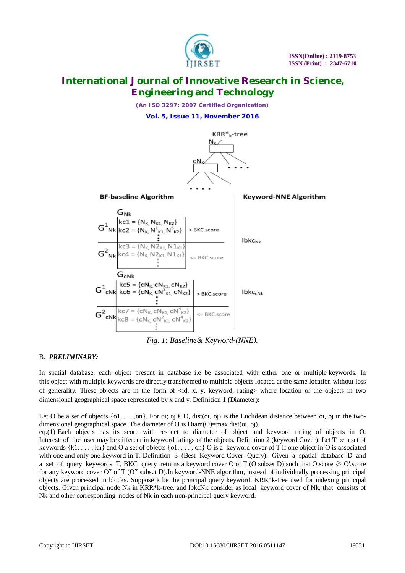

*(An ISO 3297: 2007 Certified Organization)*

**Vol. 5, Issue 11, November 2016**



*Fig. 1: Baseline& Keyword-(NNE).*

### B. *PRELIMINARY:*

In spatial database, each object present in database i.e be associated with either one or multiple keywords. In this object with multiple keywords are directly transformed to multiple objects located at the same location without loss of generality. These objects are in the form of <id, x, y, keyword, rating> where location of the objects in two dimensional geographical space represented by x and y. Definition 1 (Diameter):

Let O be a set of objects  $\{01, \ldots, 00\}$ . For oi; oj  $\in \mathbb{C}$ , dist(oi, oj) is the Euclidean distance between oi, oj in the twodimensional geographical space. The diameter of O is Diam(O)=max dist(oi, oj).

eq.(1) Each objects has its score with respect to diameter of object and keyword rating of objects in O. Interest of the user may be different in keyword ratings of the objects. Definition 2 (keyword Cover): Let T be a set of keywords  $\{k1, \ldots, kn\}$  and O a set of objects  $\{01, \ldots, on\}$  O is a keyword cover of T if one object in O is associated with one and only one keyword in T. Definition 3 (Best Keyword Cover Query): Given a spatial database D and a set of query keywords T, BKC query returns a keyword cover O of T (O subset D) such that O.score  $\geq 0$ '.score for any keyword cover O" of T (O" subset D).In keyword-NNE algorithm, instead of individually processing principal objects are processed in blocks. Suppose k be the principal query keyword. KRR\*k-tree used for indexing principal objects. Given principal node Nk in KRR\*k-tree, and lbkcNk consider as local keyword cover of Nk, that consists of Nk and other corresponding nodes of Nk in each non-principal query keyword.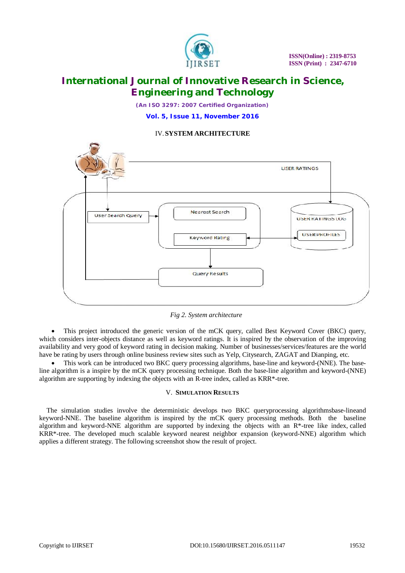

*(An ISO 3297: 2007 Certified Organization)*

**Vol. 5, Issue 11, November 2016**

IV.**SYSTEM ARCHITECTURE**



*Fig 2. System architecture*

 This project introduced the generic version of the mCK query, called Best Keyword Cover (BKC) query, which considers inter-objects distance as well as keyword ratings. It is inspired by the observation of the improving availability and very good of keyword rating in decision making. Number of businesses/services/features are the world have be rating by users through online business review sites such as Yelp, Citysearch, ZAGAT and Dianping, etc.

 This work can be introduced two BKC query processing algorithms, base-line and keyword-(NNE). The baseline algorithm is a inspire by the mCK query processing technique. Both the base-line algorithm and keyword-(NNE) algorithm are supporting by indexing the objects with an R-tree index, called as KRR\*-tree.

### V. **SIMULATION RESULTS**

The simulation studies involve the deterministic develops two BKC queryprocessing algorithmsbase-lineand keyword-NNE. The baseline algorithm is inspired by the mCK query processing methods. Both the baseline algorithm and keyword-NNE algorithm are supported by indexing the objects with an R\*-tree like index, called KRR\*-tree. The developed much scalable keyword nearest neighbor expansion (keyword-NNE) algorithm which applies a different strategy. The following screenshot show the result of project.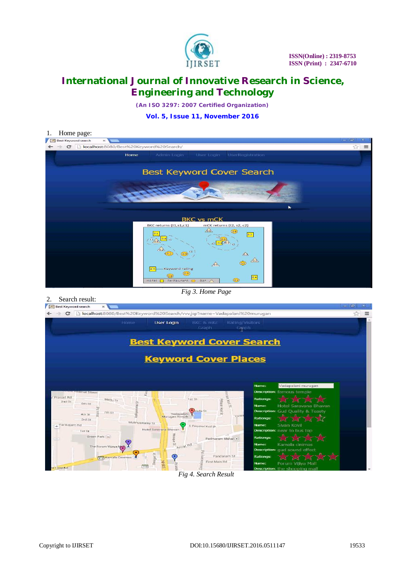

*(An ISO 3297: 2007 Certified Organization)*

**Vol. 5, Issue 11, November 2016**



*Fig 3. Home Page*



*Fig 4. Search Result*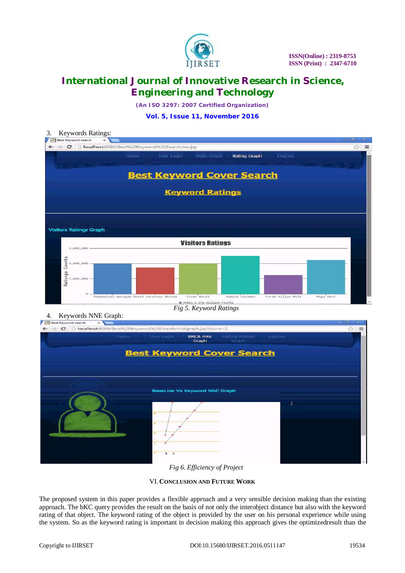

*(An ISO 3297: 2007 Certified Organization)*

### **Vol. 5, Issue 11, November 2016**

| Best Keyword search<br>×                                       |      |            |                         |                                  |        | $-10$ |
|----------------------------------------------------------------|------|------------|-------------------------|----------------------------------|--------|-------|
| c) localhost:8080/Best%20Keyword%20Search/xx.jsp<br>$\epsilon$ | Home | User Login | Visits Graph            | <b>Rating Graph</b>              | LogOut | 岱     |
|                                                                |      |            |                         |                                  |        |       |
|                                                                |      |            |                         | <b>Best Keyword Cover Search</b> |        |       |
|                                                                |      |            | <b>Keyword Ratings</b>  |                                  |        |       |
|                                                                |      |            |                         |                                  |        |       |
|                                                                |      |            |                         |                                  |        |       |
|                                                                |      |            |                         |                                  |        |       |
|                                                                |      |            |                         |                                  |        |       |
| <b>Visitors Ratings Graph</b>                                  |      |            |                         |                                  |        |       |
| 5.000,000                                                      |      |            | <b>Visitors Ratings</b> |                                  |        |       |
|                                                                |      |            |                         |                                  |        |       |
|                                                                |      |            |                         |                                  |        |       |
|                                                                |      |            |                         |                                  |        |       |
| if a 4,000,000 --<br>Solid 4,000,000 --<br>Ref: 2,000,000 --   |      |            |                         |                                  |        |       |

*Fig 5. Keyword Ratings*

| and best Keyword search<br>× |                                                                        | and the party of the local |
|------------------------------|------------------------------------------------------------------------|----------------------------|
| c                            | D localhost:8080/Best%20Keyword%20Search/visitgraph.jsp?count=2        |                            |
| Home                         | User Login<br>Rating/Visitors<br><b>BKC&amp;</b> mKc<br>Graph<br>Graph | LogOut                     |
|                              | <b>Best Keyword Cover Search</b>                                       |                            |
|                              |                                                                        |                            |
|                              | BaseLine Vs Keyword NNE Graph                                          |                            |
|                              |                                                                        | ٦                          |
|                              |                                                                        |                            |
|                              |                                                                        |                            |
|                              |                                                                        |                            |
|                              | 1 <sup>3</sup>                                                         |                            |
|                              |                                                                        |                            |

*Fig 6. Efficiency of Project*

VI.**CONCLUSION AND FUTURE WORK**

The proposed system in this paper provides a flexible approach and a very sensible decision making than the existing approach. The bKC query provides the result on the basis of not only the interobject distance but also with the keyword rating of that object. The keyword rating of the object is provided by the user on his personal experience while using the system. So as the keyword rating is important in decision making this approach gives the optimizedresult than the

<sup>4.</sup> Keywords NNE Graph: